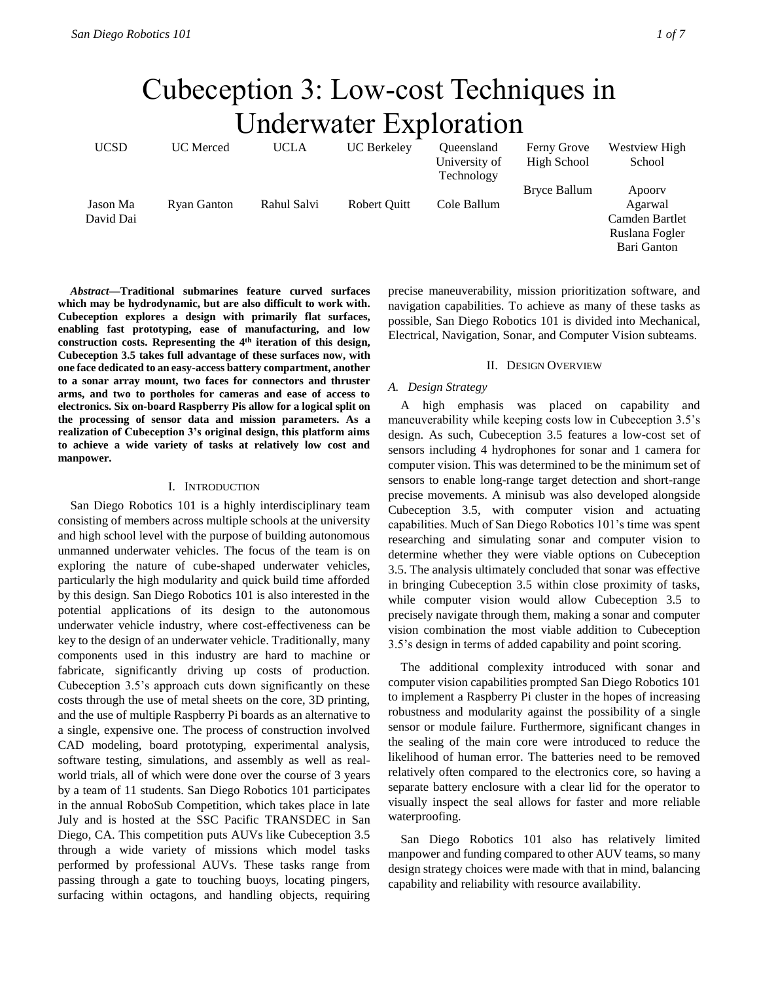# Cubeception 3: Low-cost Techniques in Underwater Exploration

| <b>UCSD</b> | <b>UC</b> Merced | <b>UCLA</b> | <b>UC</b> Berkeley | Oueensland    | Ferny Grove  | Westview High  |
|-------------|------------------|-------------|--------------------|---------------|--------------|----------------|
|             |                  |             |                    | University of | High School  | School         |
|             |                  |             |                    | Technology    |              |                |
|             |                  |             |                    |               | Bryce Ballum | Apoory         |
| Jason Ma    | Ryan Ganton      | Rahul Salvi | Robert Ouitt       | Cole Ballum   |              | Agarwal        |
| David Dai   |                  |             |                    |               |              | Camden Bartlet |
|             |                  |             |                    |               |              | Ruslana Fogler |
|             |                  |             |                    |               |              | Bari Ganton    |

*Abstract***—Traditional submarines feature curved surfaces which may be hydrodynamic, but are also difficult to work with. Cubeception explores a design with primarily flat surfaces, enabling fast prototyping, ease of manufacturing, and low construction costs. Representing the 4th iteration of this design, Cubeception 3.5 takes full advantage of these surfaces now, with one face dedicated to an easy-access battery compartment, another to a sonar array mount, two faces for connectors and thruster arms, and two to portholes for cameras and ease of access to electronics. Six on-board Raspberry Pis allow for a logical split on the processing of sensor data and mission parameters. As a realization of Cubeception 3's original design, this platform aims to achieve a wide variety of tasks at relatively low cost and manpower.** 

#### I. INTRODUCTION

San Diego Robotics 101 is a highly interdisciplinary team consisting of members across multiple schools at the university and high school level with the purpose of building autonomous unmanned underwater vehicles. The focus of the team is on exploring the nature of cube-shaped underwater vehicles, particularly the high modularity and quick build time afforded by this design. San Diego Robotics 101 is also interested in the potential applications of its design to the autonomous underwater vehicle industry, where cost-effectiveness can be key to the design of an underwater vehicle. Traditionally, many components used in this industry are hard to machine or fabricate, significantly driving up costs of production. Cubeception 3.5's approach cuts down significantly on these costs through the use of metal sheets on the core, 3D printing, and the use of multiple Raspberry Pi boards as an alternative to a single, expensive one. The process of construction involved CAD modeling, board prototyping, experimental analysis, software testing, simulations, and assembly as well as realworld trials, all of which were done over the course of 3 years by a team of 11 students. San Diego Robotics 101 participates in the annual RoboSub Competition, which takes place in late July and is hosted at the SSC Pacific TRANSDEC in San Diego, CA. This competition puts AUVs like Cubeception 3.5 through a wide variety of missions which model tasks performed by professional AUVs. These tasks range from passing through a gate to touching buoys, locating pingers, surfacing within octagons, and handling objects, requiring precise maneuverability, mission prioritization software, and navigation capabilities. To achieve as many of these tasks as possible, San Diego Robotics 101 is divided into Mechanical, Electrical, Navigation, Sonar, and Computer Vision subteams.

# II. DESIGN OVERVIEW

# *A. Design Strategy*

A high emphasis was placed on capability and maneuverability while keeping costs low in Cubeception 3.5's design. As such, Cubeception 3.5 features a low-cost set of sensors including 4 hydrophones for sonar and 1 camera for computer vision. This was determined to be the minimum set of sensors to enable long-range target detection and short-range precise movements. A minisub was also developed alongside Cubeception 3.5, with computer vision and actuating capabilities. Much of San Diego Robotics 101's time was spent researching and simulating sonar and computer vision to determine whether they were viable options on Cubeception 3.5. The analysis ultimately concluded that sonar was effective in bringing Cubeception 3.5 within close proximity of tasks, while computer vision would allow Cubeception 3.5 to precisely navigate through them, making a sonar and computer vision combination the most viable addition to Cubeception 3.5's design in terms of added capability and point scoring.

The additional complexity introduced with sonar and computer vision capabilities prompted San Diego Robotics 101 to implement a Raspberry Pi cluster in the hopes of increasing robustness and modularity against the possibility of a single sensor or module failure. Furthermore, significant changes in the sealing of the main core were introduced to reduce the likelihood of human error. The batteries need to be removed relatively often compared to the electronics core, so having a separate battery enclosure with a clear lid for the operator to visually inspect the seal allows for faster and more reliable waterproofing.

San Diego Robotics 101 also has relatively limited manpower and funding compared to other AUV teams, so many design strategy choices were made with that in mind, balancing capability and reliability with resource availability.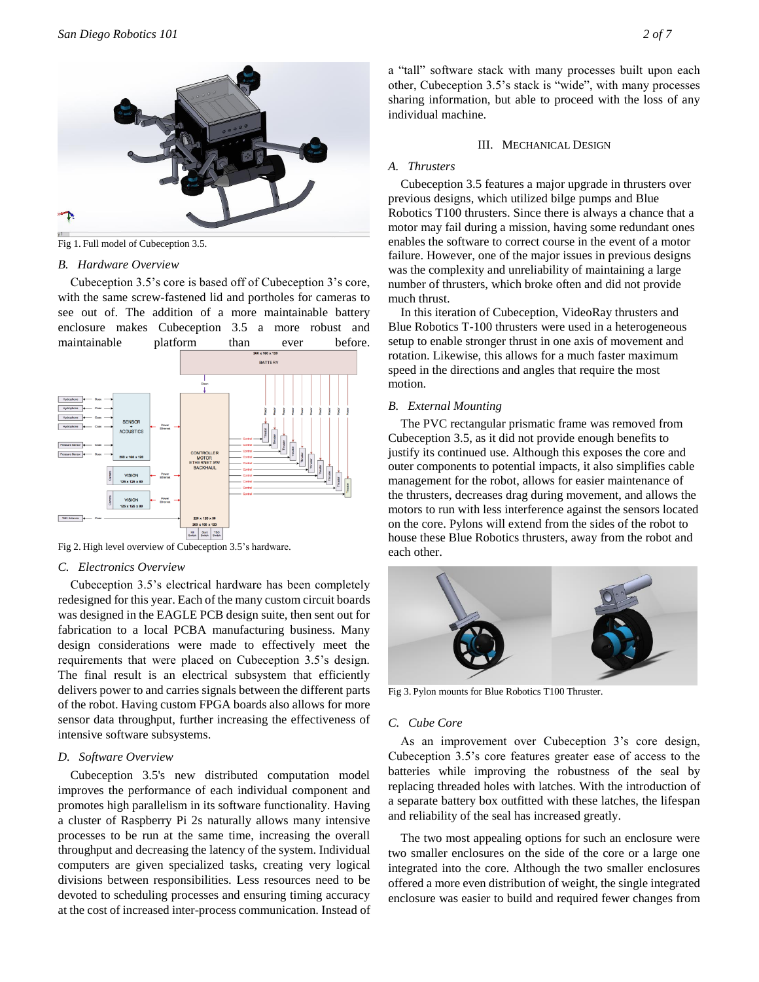

Fig 1. Full model of Cubeception 3.5.

#### *B. Hardware Overview*

Cubeception 3.5's core is based off of Cubeception 3's core, with the same screw-fastened lid and portholes for cameras to see out of. The addition of a more maintainable battery enclosure makes Cubeception 3.5 a more robust and maintainable platform than ever before.



Fig 2. High level overview of Cubeception 3.5's hardware.

# *C. Electronics Overview*

Cubeception 3.5's electrical hardware has been completely redesigned for this year. Each of the many custom circuit boards was designed in the EAGLE PCB design suite, then sent out for fabrication to a local PCBA manufacturing business. Many design considerations were made to effectively meet the requirements that were placed on Cubeception 3.5's design. The final result is an electrical subsystem that efficiently delivers power to and carries signals between the different parts of the robot. Having custom FPGA boards also allows for more sensor data throughput, further increasing the effectiveness of intensive software subsystems.

# *D. Software Overview*

Cubeception 3.5's new distributed computation model improves the performance of each individual component and promotes high parallelism in its software functionality. Having a cluster of Raspberry Pi 2s naturally allows many intensive processes to be run at the same time, increasing the overall throughput and decreasing the latency of the system. Individual computers are given specialized tasks, creating very logical divisions between responsibilities. Less resources need to be devoted to scheduling processes and ensuring timing accuracy at the cost of increased inter-process communication. Instead of a "tall" software stack with many processes built upon each other, Cubeception 3.5's stack is "wide", with many processes sharing information, but able to proceed with the loss of any individual machine.

#### III. MECHANICAL DESIGN

#### *A. Thrusters*

Cubeception 3.5 features a major upgrade in thrusters over previous designs, which utilized bilge pumps and Blue Robotics T100 thrusters. Since there is always a chance that a motor may fail during a mission, having some redundant ones enables the software to correct course in the event of a motor failure. However, one of the major issues in previous designs was the complexity and unreliability of maintaining a large number of thrusters, which broke often and did not provide much thrust.

In this iteration of Cubeception, VideoRay thrusters and Blue Robotics T-100 thrusters were used in a heterogeneous setup to enable stronger thrust in one axis of movement and rotation. Likewise, this allows for a much faster maximum speed in the directions and angles that require the most motion.

# *B. External Mounting*

The PVC rectangular prismatic frame was removed from Cubeception 3.5, as it did not provide enough benefits to justify its continued use. Although this exposes the core and outer components to potential impacts, it also simplifies cable management for the robot, allows for easier maintenance of the thrusters, decreases drag during movement, and allows the motors to run with less interference against the sensors located on the core. Pylons will extend from the sides of the robot to house these Blue Robotics thrusters, away from the robot and each other.



Fig 3. Pylon mounts for Blue Robotics T100 Thruster.

#### *C. Cube Core*

As an improvement over Cubeception 3's core design, Cubeception 3.5's core features greater ease of access to the batteries while improving the robustness of the seal by replacing threaded holes with latches. With the introduction of a separate battery box outfitted with these latches, the lifespan and reliability of the seal has increased greatly.

The two most appealing options for such an enclosure were two smaller enclosures on the side of the core or a large one integrated into the core. Although the two smaller enclosures offered a more even distribution of weight, the single integrated enclosure was easier to build and required fewer changes from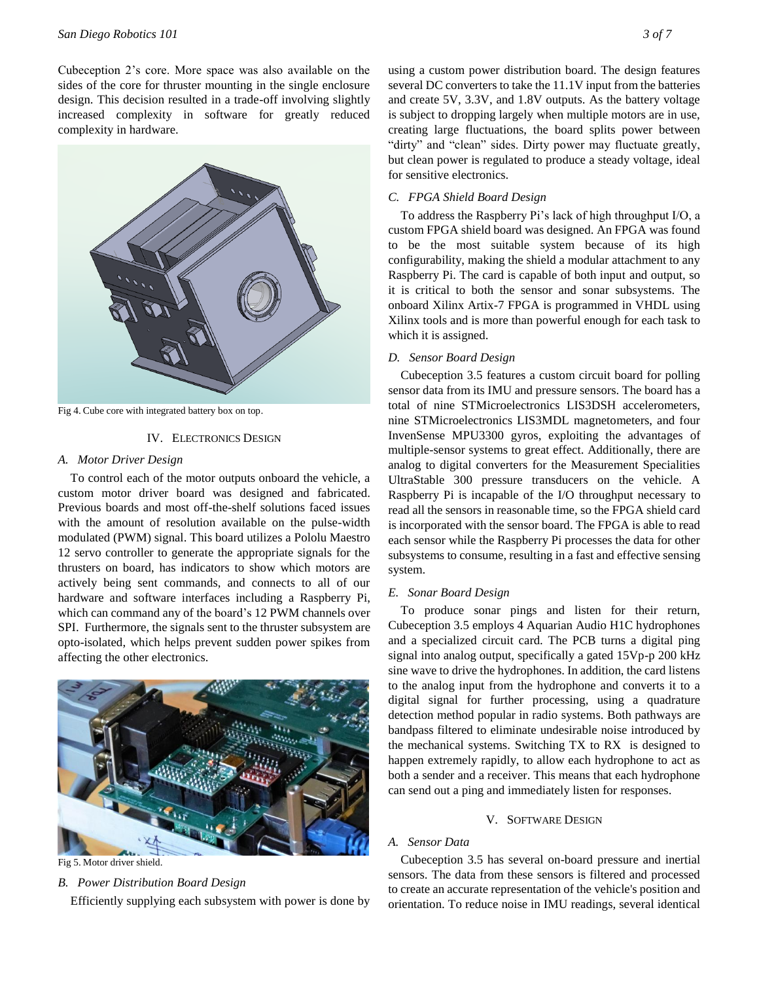# *San Diego Robotics 101 3 of 7*

Cubeception 2's core. More space was also available on the sides of the core for thruster mounting in the single enclosure design. This decision resulted in a trade-off involving slightly increased complexity in software for greatly reduced complexity in hardware.



Fig 4. Cube core with integrated battery box on top.

#### IV. ELECTRONICS DESIGN

#### *A. Motor Driver Design*

To control each of the motor outputs onboard the vehicle, a custom motor driver board was designed and fabricated. Previous boards and most off-the-shelf solutions faced issues with the amount of resolution available on the pulse-width modulated (PWM) signal. This board utilizes a Pololu Maestro 12 servo controller to generate the appropriate signals for the thrusters on board, has indicators to show which motors are actively being sent commands, and connects to all of our hardware and software interfaces including a Raspberry Pi, which can command any of the board's 12 PWM channels over SPI. Furthermore, the signals sent to the thruster subsystem are opto-isolated, which helps prevent sudden power spikes from affecting the other electronics.



Fig 5. Motor driver shield.

# *B. Power Distribution Board Design*

Efficiently supplying each subsystem with power is done by

using a custom power distribution board. The design features several DC converters to take the 11.1V input from the batteries and create 5V, 3.3V, and 1.8V outputs. As the battery voltage is subject to dropping largely when multiple motors are in use, creating large fluctuations, the board splits power between "dirty" and "clean" sides. Dirty power may fluctuate greatly, but clean power is regulated to produce a steady voltage, ideal for sensitive electronics.

# *C. FPGA Shield Board Design*

To address the Raspberry Pi's lack of high throughput I/O, a custom FPGA shield board was designed. An FPGA was found to be the most suitable system because of its high configurability, making the shield a modular attachment to any Raspberry Pi. The card is capable of both input and output, so it is critical to both the sensor and sonar subsystems. The onboard Xilinx Artix-7 FPGA is programmed in VHDL using Xilinx tools and is more than powerful enough for each task to which it is assigned.

# *D. Sensor Board Design*

Cubeception 3.5 features a custom circuit board for polling sensor data from its IMU and pressure sensors. The board has a total of nine STMicroelectronics LIS3DSH accelerometers, nine STMicroelectronics LIS3MDL magnetometers, and four InvenSense MPU3300 gyros, exploiting the advantages of multiple-sensor systems to great effect. Additionally, there are analog to digital converters for the Measurement Specialities UltraStable 300 pressure transducers on the vehicle. A Raspberry Pi is incapable of the I/O throughput necessary to read all the sensors in reasonable time, so the FPGA shield card is incorporated with the sensor board. The FPGA is able to read each sensor while the Raspberry Pi processes the data for other subsystems to consume, resulting in a fast and effective sensing system.

# *E. Sonar Board Design*

To produce sonar pings and listen for their return, Cubeception 3.5 employs 4 Aquarian Audio H1C hydrophones and a specialized circuit card. The PCB turns a digital ping signal into analog output, specifically a gated 15Vp-p 200 kHz sine wave to drive the hydrophones. In addition, the card listens to the analog input from the hydrophone and converts it to a digital signal for further processing, using a quadrature detection method popular in radio systems. Both pathways are bandpass filtered to eliminate undesirable noise introduced by the mechanical systems. Switching TX to RX is designed to happen extremely rapidly, to allow each hydrophone to act as both a sender and a receiver. This means that each hydrophone can send out a ping and immediately listen for responses.

# V. SOFTWARE DESIGN

# *A. Sensor Data*

Cubeception 3.5 has several on-board pressure and inertial sensors. The data from these sensors is filtered and processed to create an accurate representation of the vehicle's position and orientation. To reduce noise in IMU readings, several identical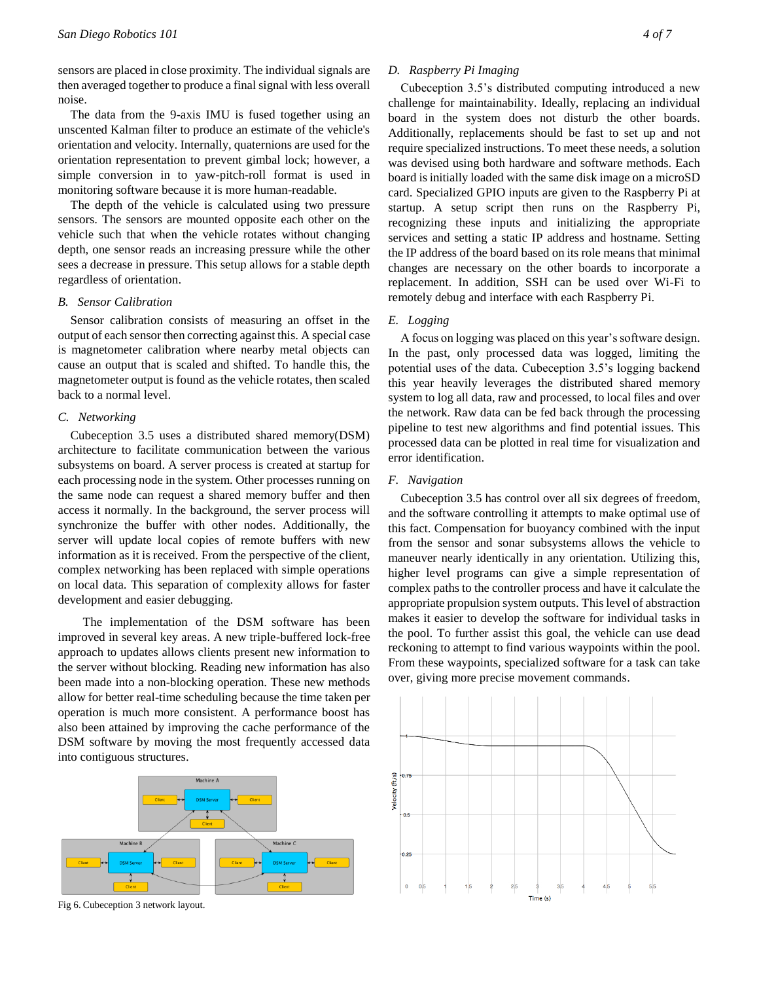sensors are placed in close proximity. The individual signals are then averaged together to produce a final signal with less overall noise.

The data from the 9-axis IMU is fused together using an unscented Kalman filter to produce an estimate of the vehicle's orientation and velocity. Internally, quaternions are used for the orientation representation to prevent gimbal lock; however, a simple conversion in to yaw-pitch-roll format is used in monitoring software because it is more human-readable.

The depth of the vehicle is calculated using two pressure sensors. The sensors are mounted opposite each other on the vehicle such that when the vehicle rotates without changing depth, one sensor reads an increasing pressure while the other sees a decrease in pressure. This setup allows for a stable depth regardless of orientation.

#### *B. Sensor Calibration*

Sensor calibration consists of measuring an offset in the output of each sensor then correcting against this. A special case is magnetometer calibration where nearby metal objects can cause an output that is scaled and shifted. To handle this, the magnetometer output is found as the vehicle rotates, then scaled back to a normal level.

# *C. Networking*

Cubeception 3.5 uses a distributed shared memory(DSM) architecture to facilitate communication between the various subsystems on board. A server process is created at startup for each processing node in the system. Other processes running on the same node can request a shared memory buffer and then access it normally. In the background, the server process will synchronize the buffer with other nodes. Additionally, the server will update local copies of remote buffers with new information as it is received. From the perspective of the client, complex networking has been replaced with simple operations on local data. This separation of complexity allows for faster development and easier debugging.

 The implementation of the DSM software has been improved in several key areas. A new triple-buffered lock-free approach to updates allows clients present new information to the server without blocking. Reading new information has also been made into a non-blocking operation. These new methods allow for better real-time scheduling because the time taken per operation is much more consistent. A performance boost has also been attained by improving the cache performance of the DSM software by moving the most frequently accessed data into contiguous structures.



Machine C



Cubeception 3.5's distributed computing introduced a new challenge for maintainability. Ideally, replacing an individual board in the system does not disturb the other boards. Additionally, replacements should be fast to set up and not require specialized instructions. To meet these needs, a solution was devised using both hardware and software methods. Each board is initially loaded with the same disk image on a microSD card. Specialized GPIO inputs are given to the Raspberry Pi at startup. A setup script then runs on the Raspberry Pi, recognizing these inputs and initializing the appropriate services and setting a static IP address and hostname. Setting the IP address of the board based on its role means that minimal changes are necessary on the other boards to incorporate a replacement. In addition, SSH can be used over Wi-Fi to remotely debug and interface with each Raspberry Pi.

# *E. Logging*

A focus on logging was placed on this year's software design. In the past, only processed data was logged, limiting the potential uses of the data. Cubeception 3.5's logging backend this year heavily leverages the distributed shared memory system to log all data, raw and processed, to local files and over the network. Raw data can be fed back through the processing pipeline to test new algorithms and find potential issues. This processed data can be plotted in real time for visualization and error identification.

#### *F. Navigation*

Cubeception 3.5 has control over all six degrees of freedom, and the software controlling it attempts to make optimal use of this fact. Compensation for buoyancy combined with the input from the sensor and sonar subsystems allows the vehicle to maneuver nearly identically in any orientation. Utilizing this, higher level programs can give a simple representation of complex paths to the controller process and have it calculate the appropriate propulsion system outputs. This level of abstraction makes it easier to develop the software for individual tasks in the pool. To further assist this goal, the vehicle can use dead reckoning to attempt to find various waypoints within the pool. From these waypoints, specialized software for a task can take over, giving more precise movement commands.



Fig 6. Cubeception 3 network layout.

Machine B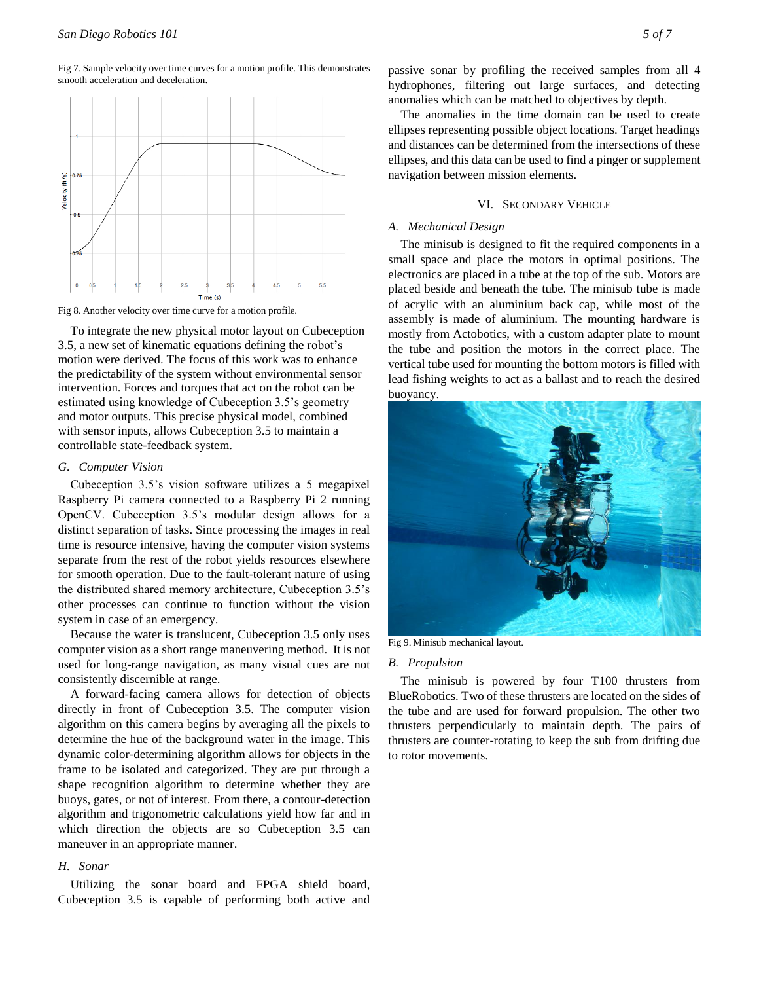Fig 7. Sample velocity over time curves for a motion profile. This demonstrates smooth acceleration and deceleration.



Fig 8. Another velocity over time curve for a motion profile.

To integrate the new physical motor layout on Cubeception 3.5, a new set of kinematic equations defining the robot's motion were derived. The focus of this work was to enhance the predictability of the system without environmental sensor intervention. Forces and torques that act on the robot can be estimated using knowledge of Cubeception 3.5's geometry and motor outputs. This precise physical model, combined with sensor inputs, allows Cubeception 3.5 to maintain a controllable state-feedback system.

#### *G. Computer Vision*

Cubeception 3.5's vision software utilizes a 5 megapixel Raspberry Pi camera connected to a Raspberry Pi 2 running OpenCV. Cubeception 3.5's modular design allows for a distinct separation of tasks. Since processing the images in real time is resource intensive, having the computer vision systems separate from the rest of the robot yields resources elsewhere for smooth operation. Due to the fault-tolerant nature of using the distributed shared memory architecture, Cubeception 3.5's other processes can continue to function without the vision system in case of an emergency.

Because the water is translucent, Cubeception 3.5 only uses computer vision as a short range maneuvering method. It is not used for long-range navigation, as many visual cues are not consistently discernible at range.

A forward-facing camera allows for detection of objects directly in front of Cubeception 3.5. The computer vision algorithm on this camera begins by averaging all the pixels to determine the hue of the background water in the image. This dynamic color-determining algorithm allows for objects in the frame to be isolated and categorized. They are put through a shape recognition algorithm to determine whether they are buoys, gates, or not of interest. From there, a contour-detection algorithm and trigonometric calculations yield how far and in which direction the objects are so Cubeception 3.5 can maneuver in an appropriate manner.

# *H. Sonar*

Utilizing the sonar board and FPGA shield board, Cubeception 3.5 is capable of performing both active and passive sonar by profiling the received samples from all 4 hydrophones, filtering out large surfaces, and detecting anomalies which can be matched to objectives by depth.

The anomalies in the time domain can be used to create ellipses representing possible object locations. Target headings and distances can be determined from the intersections of these ellipses, and this data can be used to find a pinger or supplement navigation between mission elements.

#### VI. SECONDARY VEHICLE

#### *A. Mechanical Design*

The minisub is designed to fit the required components in a small space and place the motors in optimal positions. The electronics are placed in a tube at the top of the sub. Motors are placed beside and beneath the tube. The minisub tube is made of acrylic with an aluminium back cap, while most of the assembly is made of aluminium. The mounting hardware is mostly from Actobotics, with a custom adapter plate to mount the tube and position the motors in the correct place. The vertical tube used for mounting the bottom motors is filled with lead fishing weights to act as a ballast and to reach the desired buoyancy.



Fig 9. Minisub mechanical layout.

#### *B. Propulsion*

The minisub is powered by four T100 thrusters from BlueRobotics. Two of these thrusters are located on the sides of the tube and are used for forward propulsion. The other two thrusters perpendicularly to maintain depth. The pairs of thrusters are counter-rotating to keep the sub from drifting due to rotor movements.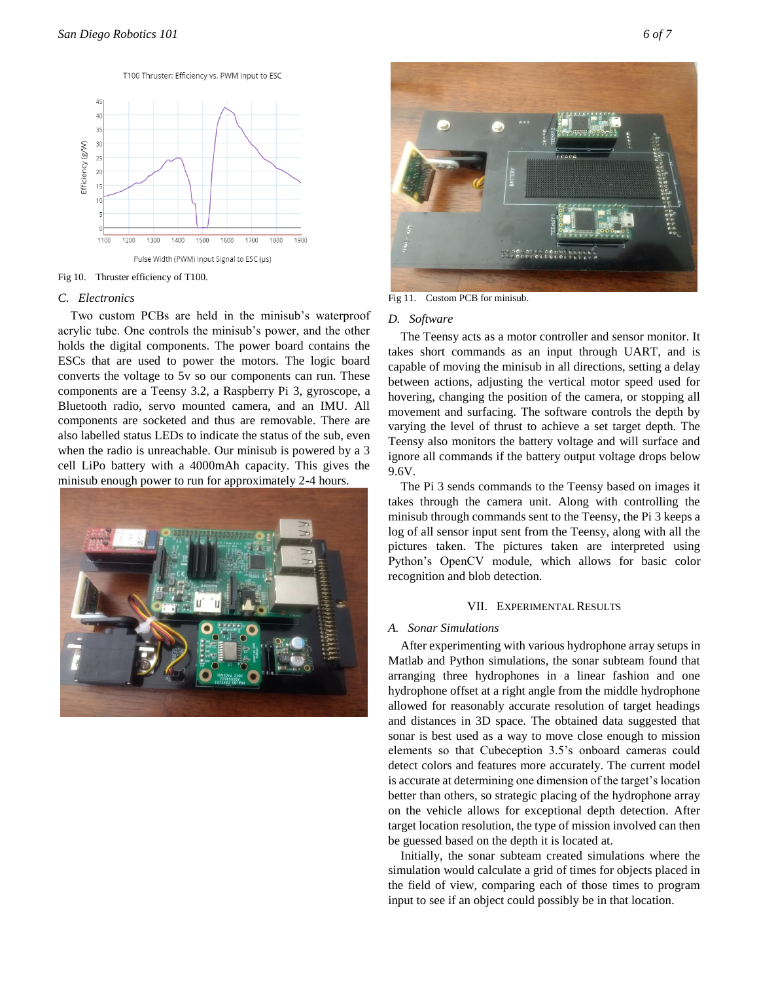



#### Fig 10. Thruster efficiency of T100.

#### *C. Electronics*

Two custom PCBs are held in the minisub's waterproof acrylic tube. One controls the minisub's power, and the other holds the digital components. The power board contains the ESCs that are used to power the motors. The logic board converts the voltage to 5v so our components can run. These components are a Teensy 3.2, a Raspberry Pi 3, gyroscope, a Bluetooth radio, servo mounted camera, and an IMU. All components are socketed and thus are removable. There are also labelled status LEDs to indicate the status of the sub, even when the radio is unreachable. Our minisub is powered by a 3 cell LiPo battery with a 4000mAh capacity. This gives the minisub enough power to run for approximately 2-4 hours.





Fig 11. Custom PCB for minisub.

# *D. Software*

The Teensy acts as a motor controller and sensor monitor. It takes short commands as an input through UART, and is capable of moving the minisub in all directions, setting a delay between actions, adjusting the vertical motor speed used for hovering, changing the position of the camera, or stopping all movement and surfacing. The software controls the depth by varying the level of thrust to achieve a set target depth. The Teensy also monitors the battery voltage and will surface and ignore all commands if the battery output voltage drops below 9.6V.

The Pi 3 sends commands to the Teensy based on images it takes through the camera unit. Along with controlling the minisub through commands sent to the Teensy, the Pi 3 keeps a log of all sensor input sent from the Teensy, along with all the pictures taken. The pictures taken are interpreted using Python's OpenCV module, which allows for basic color recognition and blob detection.

#### VII. EXPERIMENTAL RESULTS

#### *A. Sonar Simulations*

After experimenting with various hydrophone array setups in Matlab and Python simulations, the sonar subteam found that arranging three hydrophones in a linear fashion and one hydrophone offset at a right angle from the middle hydrophone allowed for reasonably accurate resolution of target headings and distances in 3D space. The obtained data suggested that sonar is best used as a way to move close enough to mission elements so that Cubeception 3.5's onboard cameras could detect colors and features more accurately. The current model is accurate at determining one dimension of the target's location better than others, so strategic placing of the hydrophone array on the vehicle allows for exceptional depth detection. After target location resolution, the type of mission involved can then be guessed based on the depth it is located at.

Initially, the sonar subteam created simulations where the simulation would calculate a grid of times for objects placed in the field of view, comparing each of those times to program input to see if an object could possibly be in that location.